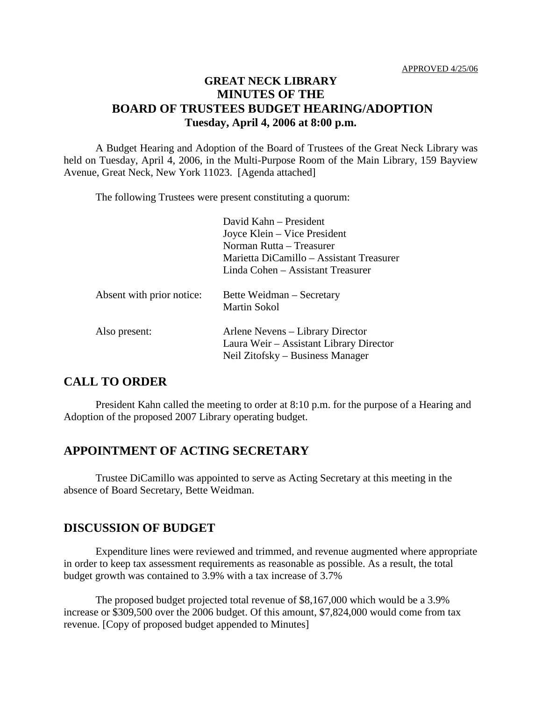## **GREAT NECK LIBRARY MINUTES OF THE BOARD OF TRUSTEES BUDGET HEARING/ADOPTION Tuesday, April 4, 2006 at 8:00 p.m.**

A Budget Hearing and Adoption of the Board of Trustees of the Great Neck Library was held on Tuesday, April 4, 2006, in the Multi-Purpose Room of the Main Library, 159 Bayview Avenue, Great Neck, New York 11023. [Agenda attached]

The following Trustees were present constituting a quorum:

|                           | David Kahn - President                                                                                          |
|---------------------------|-----------------------------------------------------------------------------------------------------------------|
|                           | Joyce Klein – Vice President                                                                                    |
|                           | Norman Rutta – Treasurer                                                                                        |
|                           | Marietta DiCamillo – Assistant Treasurer                                                                        |
|                           | Linda Cohen – Assistant Treasurer                                                                               |
| Absent with prior notice: | Bette Weidman – Secretary<br><b>Martin Sokol</b>                                                                |
| Also present:             | Arlene Nevens – Library Director<br>Laura Weir – Assistant Library Director<br>Neil Zitofsky – Business Manager |

## **CALL TO ORDER**

President Kahn called the meeting to order at 8:10 p.m. for the purpose of a Hearing and Adoption of the proposed 2007 Library operating budget.

## **APPOINTMENT OF ACTING SECRETARY**

Trustee DiCamillo was appointed to serve as Acting Secretary at this meeting in the absence of Board Secretary, Bette Weidman.

#### **DISCUSSION OF BUDGET**

Expenditure lines were reviewed and trimmed, and revenue augmented where appropriate in order to keep tax assessment requirements as reasonable as possible. As a result, the total budget growth was contained to 3.9% with a tax increase of 3.7%

The proposed budget projected total revenue of \$8,167,000 which would be a 3.9% increase or \$309,500 over the 2006 budget. Of this amount, \$7,824,000 would come from tax revenue. [Copy of proposed budget appended to Minutes]